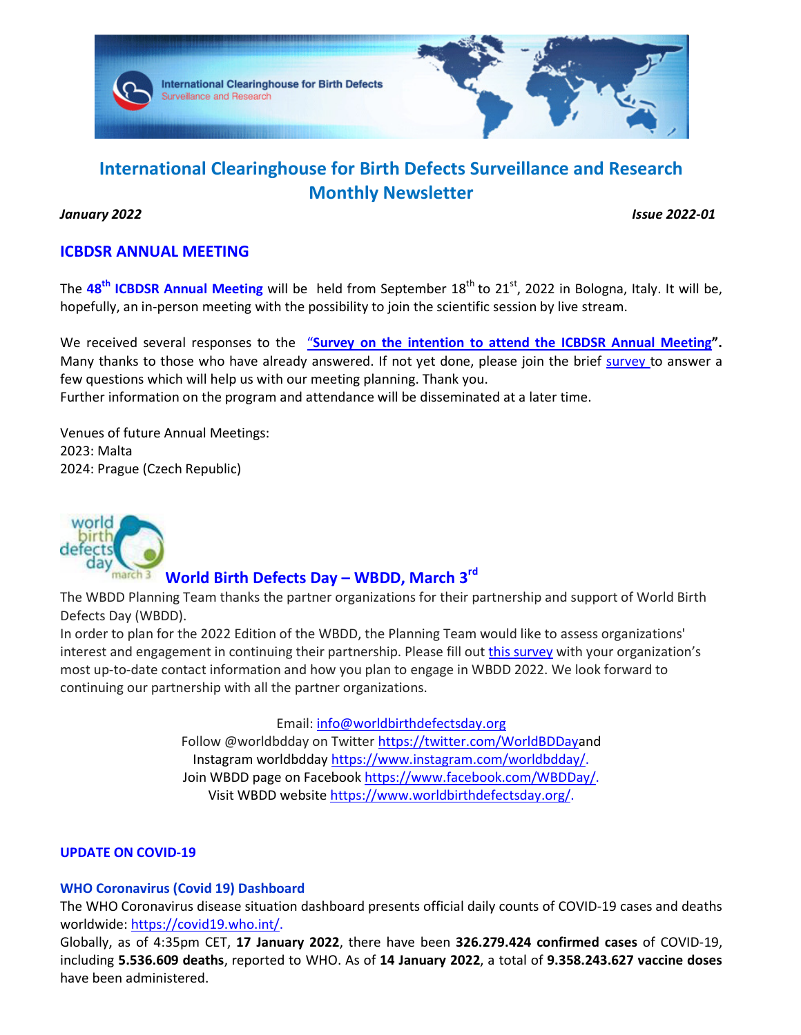

# **International Clearinghouse for Birth Defects Surveillance and Research Monthly Newsletter**

*January 2022 Issue 2022-01* 

# **ICBDSR ANNUAL MEETING**

The 48<sup>th</sup> ICBDSR Annual Meeting will be held from September 18<sup>th</sup> to 21<sup>st</sup>, 2022 in Bologna, Italy. It will be, hopefully, an in-person meeting with the possibility to join the scientific session by live stream.

We received several responses to the "Survey on the intention to attend the ICBDSR Annual Meeting". Many thanks to those who have already answered. If not yet done, please join the brief survey to answer a few questions which will help us with our meeting planning. Thank you. Further information on the program and attendance will be disseminated at a later time.

Venues of future Annual Meetings: 2023: Malta 2024: Prague (Czech Republic)



# **World Birth Defects Day – WBDD, March 3rd**

The WBDD Planning Team thanks the partner organizations for their partnership and support of World Birth Defects Day (WBDD).

In order to plan for the 2022 Edition of the WBDD, the Planning Team would like to assess organizations' interest and engagement in continuing their partnership. Please fill out this survey with your organization's most up-to-date contact information and how you plan to engage in WBDD 2022. We look forward to continuing our partnership with all the partner organizations.

> Email: info@worldbirthdefectsday.org Follow @worldbdday on Twitter https://twitter.com/WorldBDDayand Instagram worldbdday https://www.instagram.com/worldbdday/. Join WBDD page on Facebook https://www.facebook.com/WBDDay/. Visit WBDD website https://www.worldbirthdefectsday.org/.

### **UPDATE ON COVID-19**

### **WHO Coronavirus (Covid 19) Dashboard**

The WHO Coronavirus disease situation dashboard presents official daily counts of COVID-19 cases and deaths worldwide: https://covid19.who.int/.

Globally, as of 4:35pm CET, **17 January 2022**, there have been **326.279.424 confirmed cases** of COVID-19, including **5.536.609 deaths**, reported to WHO. As of **14 January 2022**, a total of **9.358.243.627 vaccine doses** have been administered.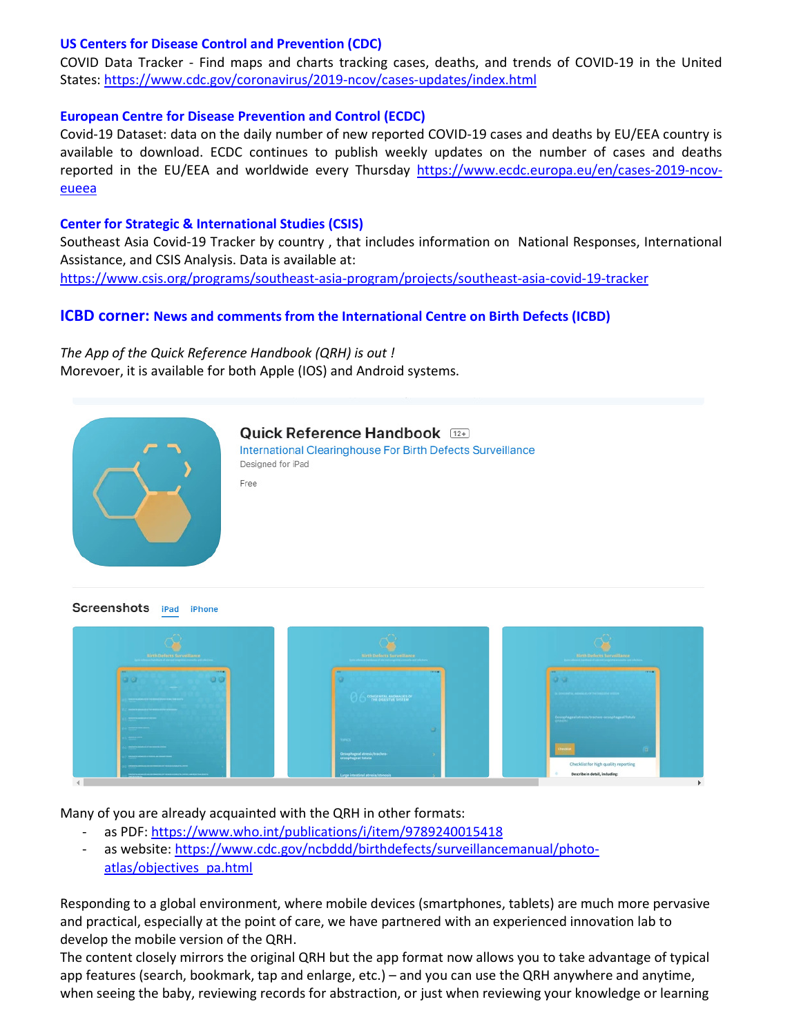#### **US Centers for Disease Control and Prevention (CDC)**

COVID Data Tracker - Find maps and charts tracking cases, deaths, and trends of COVID-19 in the United States: https://www.cdc.gov/coronavirus/2019-ncov/cases-updates/index.html

#### **European Centre for Disease Prevention and Control (ECDC)**

Covid-19 Dataset: data on the daily number of new reported COVID-19 cases and deaths by EU/EEA country is available to download. ECDC continues to publish weekly updates on the number of cases and deaths reported in the EU/EEA and worldwide every Thursday https://www.ecdc.europa.eu/en/cases-2019-ncoveueea

#### **Center for Strategic & International Studies (CSIS)**

Southeast Asia Covid-19 Tracker by country , that includes information on National Responses, International Assistance, and CSIS Analysis. Data is available at: https://www.csis.org/programs/southeast-asia-program/projects/southeast-asia-covid-19-tracker

## **ICBD corner: News and comments from the International Centre on Birth Defects (ICBD)**

*The App of the Quick Reference Handbook (QRH) is out !* Morevoer, it is available for both Apple (IOS) and Android systems.



#### Quick Reference Handbook [12+] International Clearinghouse For Birth Defects Surveillance Designed for iPad

Free

**Screenshots** iPad iPhone



Many of you are already acquainted with the QRH in other formats:

- as PDF: https://www.who.int/publications/i/item/9789240015418
- as website: https://www.cdc.gov/ncbddd/birthdefects/surveillancemanual/photoatlas/objectives\_pa.html

Responding to a global environment, where mobile devices (smartphones, tablets) are much more pervasive and practical, especially at the point of care, we have partnered with an experienced innovation lab to develop the mobile version of the QRH.

The content closely mirrors the original QRH but the app format now allows you to take advantage of typical app features (search, bookmark, tap and enlarge, etc.) – and you can use the QRH anywhere and anytime, when seeing the baby, reviewing records for abstraction, or just when reviewing your knowledge or learning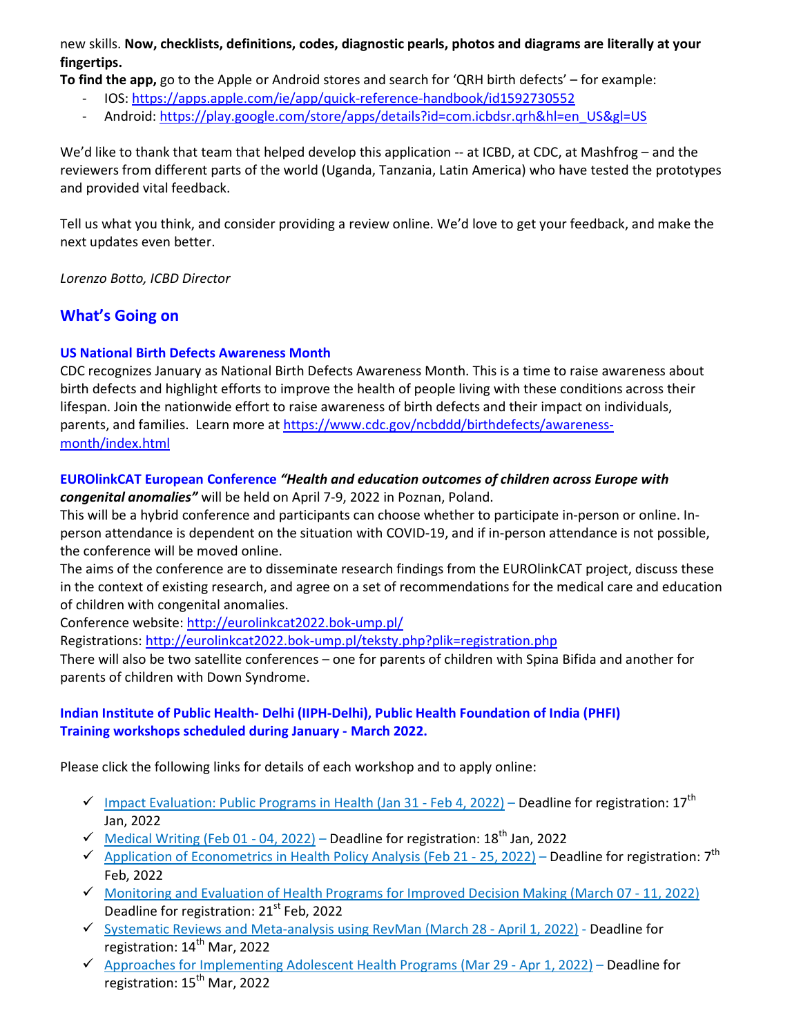new skills. **Now, checklists, definitions, codes, diagnostic pearls, photos and diagrams are literally at your fingertips.** 

**To find the app,** go to the Apple or Android stores and search for 'QRH birth defects' – for example:

- IOS: https://apps.apple.com/ie/app/quick-reference-handbook/id1592730552
- Android: https://play.google.com/store/apps/details?id=com.icbdsr.qrh&hl=en\_US&gl=US

We'd like to thank that team that helped develop this application -- at ICBD, at CDC, at Mashfrog – and the reviewers from different parts of the world (Uganda, Tanzania, Latin America) who have tested the prototypes and provided vital feedback.

Tell us what you think, and consider providing a review online. We'd love to get your feedback, and make the next updates even better.

*Lorenzo Botto, ICBD Director* 

# **What's Going on**

## **US National Birth Defects Awareness Month**

CDC recognizes January as National Birth Defects Awareness Month. This is a time to raise awareness about birth defects and highlight efforts to improve the health of people living with these conditions across their lifespan. Join the nationwide effort to raise awareness of birth defects and their impact on individuals, parents, and families. Learn more at https://www.cdc.gov/ncbddd/birthdefects/awarenessmonth/index.html

#### **EUROlinkCAT European Conference** *"Health and education outcomes of children across Europe with congenital anomalies"* will be held on April 7-9, 2022 in Poznan, Poland.

This will be a hybrid conference and participants can choose whether to participate in-person or online. Inperson attendance is dependent on the situation with COVID-19, and if in-person attendance is not possible, the conference will be moved online.

The aims of the conference are to disseminate research findings from the EUROlinkCAT project, discuss these in the context of existing research, and agree on a set of recommendations for the medical care and education of children with congenital anomalies.

Conference website: http://eurolinkcat2022.bok-ump.pl/

Registrations: http://eurolinkcat2022.bok-ump.pl/teksty.php?plik=registration.php

There will also be two satellite conferences – one for parents of children with Spina Bifida and another for parents of children with Down Syndrome.

# **Indian Institute of Public Health- Delhi (IIPH-Delhi), Public Health Foundation of India (PHFI) Training workshops scheduled during January - March 2022.**

Please click the following links for details of each workshop and to apply online:

- $\checkmark$  Impact Evaluation: Public Programs in Health (Jan 31 Feb 4, 2022) Deadline for registration: 17<sup>th</sup> Jan, 2022
- $\checkmark$  Medical Writing (Feb 01 04, 2022) Deadline for registration: 18<sup>th</sup> Jan, 2022
- Application of Econometrics in Health Policy Analysis (Feb 21 25, 2022) Deadline for registration:  $7^{th}$ Feb, 2022
- $\checkmark$  Monitoring and Evaluation of Health Programs for Improved Decision Making (March 07 11, 2022) Deadline for registration: 21<sup>st</sup> Feb, 2022
- $\checkmark$  Systematic Reviews and Meta-analysis using RevMan (March 28 April 1, 2022) Deadline for registration: 14<sup>th</sup> Mar, 2022
- $\checkmark$  Approaches for Implementing Adolescent Health Programs (Mar 29 Apr 1, 2022) Deadline for registration: 15<sup>th</sup> Mar, 2022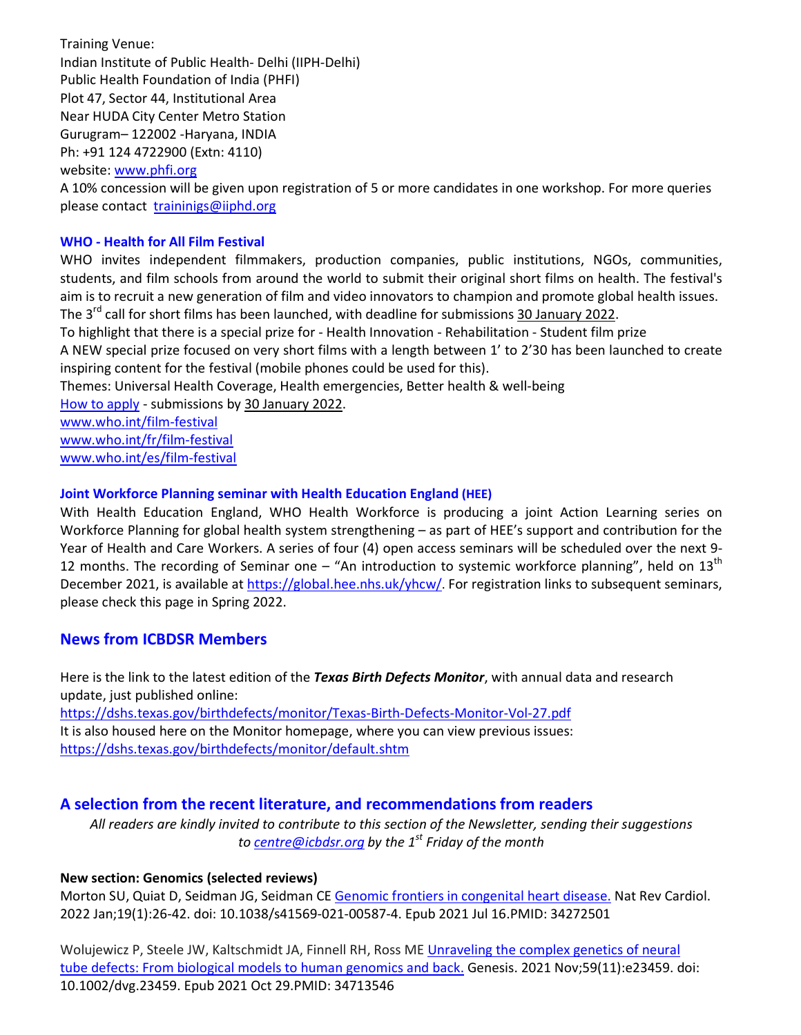Training Venue: Indian Institute of Public Health- Delhi (IIPH-Delhi) Public Health Foundation of India (PHFI) Plot 47, Sector 44, Institutional Area Near HUDA City Center Metro Station Gurugram– 122002 -Haryana, INDIA Ph: +91 124 4722900 (Extn: 4110)

website: www.phfi.org

A 10% concession will be given upon registration of 5 or more candidates in one workshop. For more queries please contact traininigs@iiphd.org

#### **WHO - Health for All Film Festival**

WHO invites independent filmmakers, production companies, public institutions, NGOs, communities, students, and film schools from around the world to submit their original short films on health. The festival's aim is to recruit a new generation of film and video innovators to champion and promote global health issues. The 3<sup>rd</sup> call for short films has been launched, with deadline for submissions 30 January 2022. To highlight that there is a special prize for - Health Innovation - Rehabilitation - Student film prize A NEW special prize focused on very short films with a length between 1' to 2'30 has been launched to create inspiring content for the festival (mobile phones could be used for this). Themes: Universal Health Coverage, Health emergencies, Better health & well-being

How to apply - submissions by 30 January 2022.

www.who.int/film-festival www.who.int/fr/film-festival

www.who.int/es/film-festival

### **Joint Workforce Planning seminar with Health Education England (HEE)**

With Health Education England, WHO Health Workforce is producing a joint Action Learning series on Workforce Planning for global health system strengthening – as part of HEE's support and contribution for the Year of Health and Care Workers. A series of four (4) open access seminars will be scheduled over the next 9- 12 months. The recording of Seminar one – "An introduction to systemic workforce planning", held on  $13<sup>th</sup>$ December 2021, is available at https://global.hee.nhs.uk/yhcw/. For registration links to subsequent seminars, please check this page in Spring 2022.

# **News from ICBDSR Members**

Here is the link to the latest edition of the *Texas Birth Defects Monitor*, with annual data and research update, just published online:

https://dshs.texas.gov/birthdefects/monitor/Texas-Birth-Defects-Monitor-Vol-27.pdf It is also housed here on the Monitor homepage, where you can view previous issues: https://dshs.texas.gov/birthdefects/monitor/default.shtm

# **A selection from the recent literature, and recommendations from readers**

*All readers are kindly invited to contribute to this section of the Newsletter, sending their suggestions to centre@icbdsr.org by the 1st Friday of the month*

### **New section: Genomics (selected reviews)**

Morton SU, Quiat D, Seidman JG, Seidman CE Genomic frontiers in congenital heart disease. Nat Rev Cardiol. 2022 Jan;19(1):26-42. doi: 10.1038/s41569-021-00587-4. Epub 2021 Jul 16.PMID: 34272501

Wolujewicz P, Steele JW, Kaltschmidt JA, Finnell RH, Ross ME Unraveling the complex genetics of neural tube defects: From biological models to human genomics and back. Genesis. 2021 Nov;59(11):e23459. doi: 10.1002/dvg.23459. Epub 2021 Oct 29.PMID: 34713546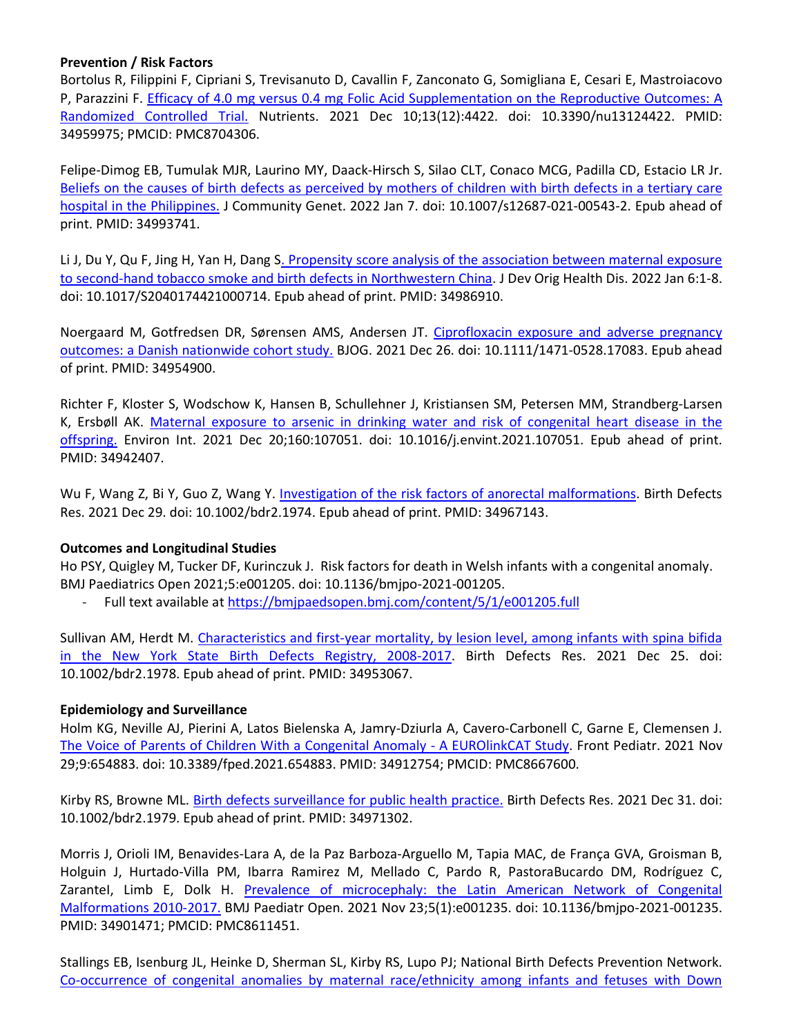#### **Prevention / Risk Factors**

Bortolus R, Filippini F, Cipriani S, Trevisanuto D, Cavallin F, Zanconato G, Somigliana E, Cesari E, Mastroiacovo P, Parazzini F. Efficacy of 4.0 mg versus 0.4 mg Folic Acid Supplementation on the Reproductive Outcomes: A Randomized Controlled Trial. Nutrients. 2021 Dec 10;13(12):4422. doi: 10.3390/nu13124422. PMID: 34959975; PMCID: PMC8704306.

Felipe-Dimog EB, Tumulak MJR, Laurino MY, Daack-Hirsch S, Silao CLT, Conaco MCG, Padilla CD, Estacio LR Jr. Beliefs on the causes of birth defects as perceived by mothers of children with birth defects in a tertiary care hospital in the Philippines. J Community Genet. 2022 Jan 7. doi: 10.1007/s12687-021-00543-2. Epub ahead of print. PMID: 34993741.

Li J, Du Y, Qu F, Jing H, Yan H, Dang S. Propensity score analysis of the association between maternal exposure to second-hand tobacco smoke and birth defects in Northwestern China. J Dev Orig Health Dis. 2022 Jan 6:1-8. doi: 10.1017/S2040174421000714. Epub ahead of print. PMID: 34986910.

Noergaard M, Gotfredsen DR, Sørensen AMS, Andersen JT. Ciprofloxacin exposure and adverse pregnancy outcomes: a Danish nationwide cohort study. BJOG. 2021 Dec 26. doi: 10.1111/1471-0528.17083. Epub ahead of print. PMID: 34954900.

Richter F, Kloster S, Wodschow K, Hansen B, Schullehner J, Kristiansen SM, Petersen MM, Strandberg-Larsen K, Ersbøll AK. Maternal exposure to arsenic in drinking water and risk of congenital heart disease in the offspring. Environ Int. 2021 Dec 20;160:107051. doi: 10.1016/j.envint.2021.107051. Epub ahead of print. PMID: 34942407.

Wu F, Wang Z, Bi Y, Guo Z, Wang Y. Investigation of the risk factors of anorectal malformations. Birth Defects Res. 2021 Dec 29. doi: 10.1002/bdr2.1974. Epub ahead of print. PMID: 34967143.

#### **Outcomes and Longitudinal Studies**

Ho PSY, Quigley M, Tucker DF, Kurinczuk J. Risk factors for death in Welsh infants with a congenital anomaly. BMJ Paediatrics Open 2021;5:e001205. doi: 10.1136/bmjpo-2021-001205.

- Full text available at https://bmjpaedsopen.bmj.com/content/5/1/e001205.full

Sullivan AM, Herdt M. Characteristics and first-year mortality, by lesion level, among infants with spina bifida in the New York State Birth Defects Registry, 2008-2017. Birth Defects Res. 2021 Dec 25. doi: 10.1002/bdr2.1978. Epub ahead of print. PMID: 34953067.

#### **Epidemiology and Surveillance**

Holm KG, Neville AJ, Pierini A, Latos Bielenska A, Jamry-Dziurla A, Cavero-Carbonell C, Garne E, Clemensen J. The Voice of Parents of Children With a Congenital Anomaly - A EUROlinkCAT Study. Front Pediatr. 2021 Nov 29;9:654883. doi: 10.3389/fped.2021.654883. PMID: 34912754; PMCID: PMC8667600.

Kirby RS, Browne ML. Birth defects surveillance for public health practice. Birth Defects Res. 2021 Dec 31. doi: 10.1002/bdr2.1979. Epub ahead of print. PMID: 34971302.

Morris J, Orioli IM, Benavides-Lara A, de la Paz Barboza-Arguello M, Tapia MAC, de França GVA, Groisman B, Holguin J, Hurtado-Villa PM, Ibarra Ramirez M, Mellado C, Pardo R, PastoraBucardo DM, Rodríguez C, Zarantel, Limb E, Dolk H. Prevalence of microcephaly: the Latin American Network of Congenital Malformations 2010-2017. BMJ Paediatr Open. 2021 Nov 23;5(1):e001235. doi: 10.1136/bmjpo-2021-001235. PMID: 34901471; PMCID: PMC8611451.

Stallings EB, Isenburg JL, Heinke D, Sherman SL, Kirby RS, Lupo PJ; National Birth Defects Prevention Network. Co-occurrence of congenital anomalies by maternal race/ethnicity among infants and fetuses with Down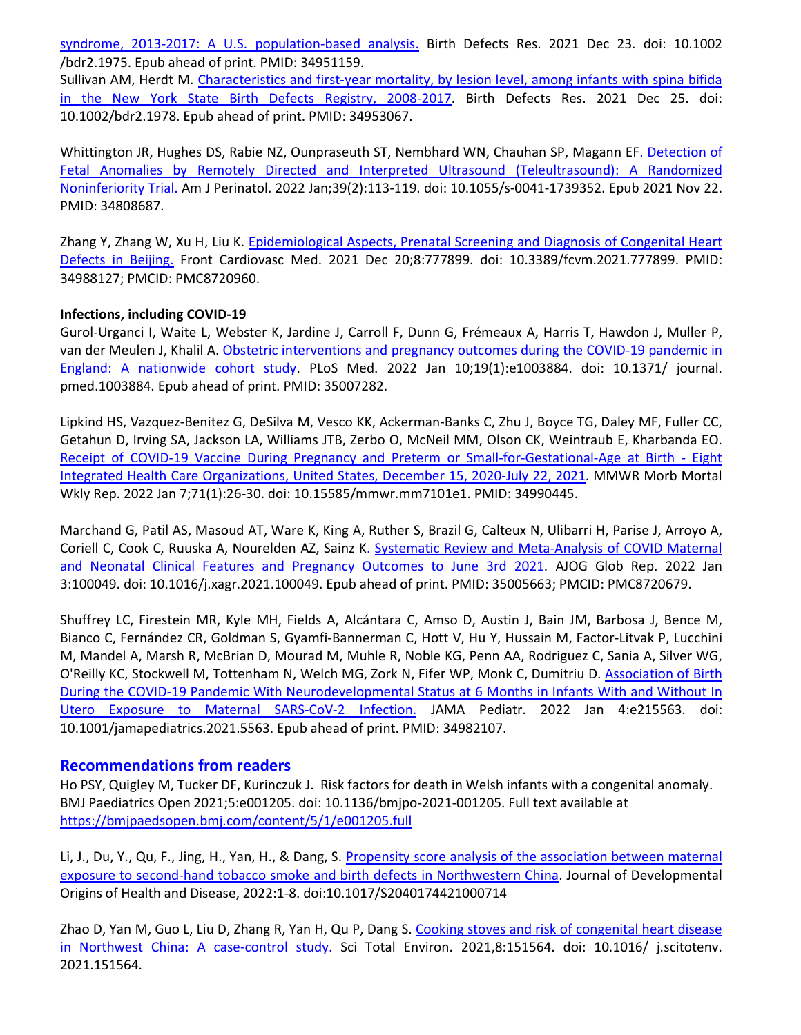syndrome, 2013-2017: A U.S. population-based analysis. Birth Defects Res. 2021 Dec 23. doi: 10.1002 /bdr2.1975. Epub ahead of print. PMID: 34951159. Sullivan AM, Herdt M. Characteristics and first-year mortality, by lesion level, among infants with spina bifida in the New York State Birth Defects Registry, 2008-2017. Birth Defects Res. 2021 Dec 25. doi: 10.1002/bdr2.1978. Epub ahead of print. PMID: 34953067.

Whittington JR, Hughes DS, Rabie NZ, Ounpraseuth ST, Nembhard WN, Chauhan SP, Magann EF. Detection of Fetal Anomalies by Remotely Directed and Interpreted Ultrasound (Teleultrasound): A Randomized Noninferiority Trial. Am J Perinatol. 2022 Jan;39(2):113-119. doi: 10.1055/s-0041-1739352. Epub 2021 Nov 22. PMID: 34808687.

Zhang Y, Zhang W, Xu H, Liu K. Epidemiological Aspects, Prenatal Screening and Diagnosis of Congenital Heart Defects in Beijing. Front Cardiovasc Med. 2021 Dec 20;8:777899. doi: 10.3389/fcvm.2021.777899. PMID: 34988127; PMCID: PMC8720960.

#### **Infections, including COVID-19**

Gurol-Urganci I, Waite L, Webster K, Jardine J, Carroll F, Dunn G, Frémeaux A, Harris T, Hawdon J, Muller P, van der Meulen J, Khalil A. Obstetric interventions and pregnancy outcomes during the COVID-19 pandemic in England: A nationwide cohort study. PLoS Med. 2022 Jan 10;19(1):e1003884. doi: 10.1371/ journal. pmed.1003884. Epub ahead of print. PMID: 35007282.

Lipkind HS, Vazquez-Benitez G, DeSilva M, Vesco KK, Ackerman-Banks C, Zhu J, Boyce TG, Daley MF, Fuller CC, Getahun D, Irving SA, Jackson LA, Williams JTB, Zerbo O, McNeil MM, Olson CK, Weintraub E, Kharbanda EO. Receipt of COVID-19 Vaccine During Pregnancy and Preterm or Small-for-Gestational-Age at Birth - Eight Integrated Health Care Organizations, United States, December 15, 2020-July 22, 2021. MMWR Morb Mortal Wkly Rep. 2022 Jan 7;71(1):26-30. doi: 10.15585/mmwr.mm7101e1. PMID: 34990445.

Marchand G, Patil AS, Masoud AT, Ware K, King A, Ruther S, Brazil G, Calteux N, Ulibarri H, Parise J, Arroyo A, Coriell C, Cook C, Ruuska A, Nourelden AZ, Sainz K. Systematic Review and Meta-Analysis of COVID Maternal and Neonatal Clinical Features and Pregnancy Outcomes to June 3rd 2021. AJOG Glob Rep. 2022 Jan 3:100049. doi: 10.1016/j.xagr.2021.100049. Epub ahead of print. PMID: 35005663; PMCID: PMC8720679.

Shuffrey LC, Firestein MR, Kyle MH, Fields A, Alcántara C, Amso D, Austin J, Bain JM, Barbosa J, Bence M, Bianco C, Fernández CR, Goldman S, Gyamfi-Bannerman C, Hott V, Hu Y, Hussain M, Factor-Litvak P, Lucchini M, Mandel A, Marsh R, McBrian D, Mourad M, Muhle R, Noble KG, Penn AA, Rodriguez C, Sania A, Silver WG, O'Reilly KC, Stockwell M, Tottenham N, Welch MG, Zork N, Fifer WP, Monk C, Dumitriu D. Association of Birth During the COVID-19 Pandemic With Neurodevelopmental Status at 6 Months in Infants With and Without In Utero Exposure to Maternal SARS-CoV-2 Infection. JAMA Pediatr. 2022 Jan 4:e215563. doi: 10.1001/jamapediatrics.2021.5563. Epub ahead of print. PMID: 34982107.

# **Recommendations from readers**

Ho PSY, Quigley M, Tucker DF, Kurinczuk J. Risk factors for death in Welsh infants with a congenital anomaly. BMJ Paediatrics Open 2021;5:e001205. doi: 10.1136/bmjpo-2021-001205. Full text available at https://bmjpaedsopen.bmj.com/content/5/1/e001205.full

Li, J., Du, Y., Qu, F., Jing, H., Yan, H., & Dang, S. Propensity score analysis of the association between maternal exposure to second-hand tobacco smoke and birth defects in Northwestern China. Journal of Developmental Origins of Health and Disease, 2022:1-8. doi:10.1017/S2040174421000714

Zhao D, Yan M, Guo L, Liu D, Zhang R, Yan H, Qu P, Dang S. Cooking stoves and risk of congenital heart disease in Northwest China: A case-control study. Sci Total Environ. 2021,8:151564. doi: 10.1016/ j.scitotenv. 2021.151564.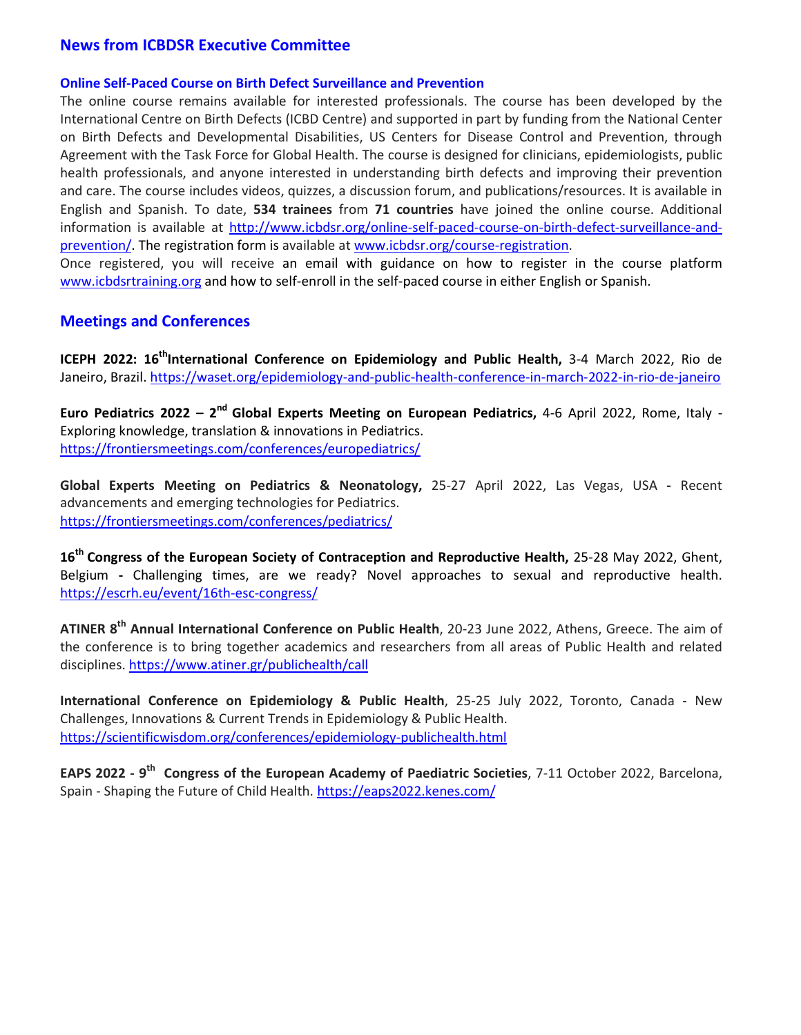# **News from ICBDSR Executive Committee**

#### **Online Self-Paced Course on Birth Defect Surveillance and Prevention**

The online course remains available for interested professionals. The course has been developed by the International Centre on Birth Defects (ICBD Centre) and supported in part by funding from the National Center on Birth Defects and Developmental Disabilities, US Centers for Disease Control and Prevention, through Agreement with the Task Force for Global Health. The course is designed for clinicians, epidemiologists, public health professionals, and anyone interested in understanding birth defects and improving their prevention and care. The course includes videos, quizzes, a discussion forum, and publications/resources. It is available in English and Spanish. To date, **534 trainees** from **71 countries** have joined the online course. Additional information is available at http://www.icbdsr.org/online-self-paced-course-on-birth-defect-surveillance-andprevention/. The registration form is available at www.icbdsr.org/course-registration.

Once registered, you will receive an email with guidance on how to register in the course platform www.icbdsrtraining.org and how to self-enroll in the self-paced course in either English or Spanish.

#### **Meetings and Conferences**

**ICEPH 2022: 16thInternational Conference on Epidemiology and Public Health,** 3-4 March 2022, Rio de Janeiro, Brazil. https://waset.org/epidemiology-and-public-health-conference-in-march-2022-in-rio-de-janeiro

**Euro Pediatrics 2022 – 2nd Global Experts Meeting on European Pediatrics,** 4-6 April 2022, Rome, Italy - Exploring knowledge, translation & innovations in Pediatrics. https://frontiersmeetings.com/conferences/europediatrics/

**Global Experts Meeting on Pediatrics & Neonatology,** 25-27 April 2022, Las Vegas, USA **-** Recent advancements and emerging technologies for Pediatrics. https://frontiersmeetings.com/conferences/pediatrics/

**16th Congress of the European Society of Contraception and Reproductive Health,** 25-28 May 2022, Ghent, Belgium **-** Challenging times, are we ready? Novel approaches to sexual and reproductive health. https://escrh.eu/event/16th-esc-congress/

**ATINER 8th Annual International Conference on Public Health**, 20-23 June 2022, Athens, Greece. The aim of the conference is to bring together academics and researchers from all areas of Public Health and related disciplines. https://www.atiner.gr/publichealth/call

**International Conference on Epidemiology & Public Health**, 25-25 July 2022, Toronto, Canada - New Challenges, Innovations & Current Trends in Epidemiology & Public Health. https://scientificwisdom.org/conferences/epidemiology-publichealth.html

**EAPS 2022 - 9th Congress of the European Academy of Paediatric Societies**, 7-11 October 2022, Barcelona, Spain - Shaping the Future of Child Health. https://eaps2022.kenes.com/